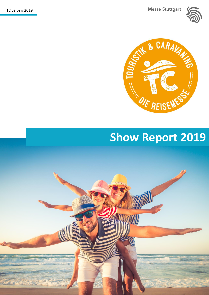TC Leipzig 2019

**Messe Stuttgart** 





# **Show Report 2019**

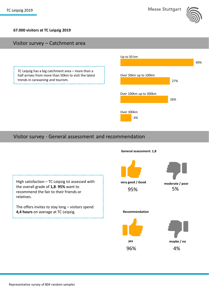

#### **67.000 visitors at TC Leipzig 2019**

#### Visitor survey – Catchment area

TC Leipzig has a big catchment area – more than a half arrives from more than 50km to visit the latest trends in caravaning and tourism. . . . . . . . . . . . . . . . . 1



#### Visitor survey - General assessment and recommendation

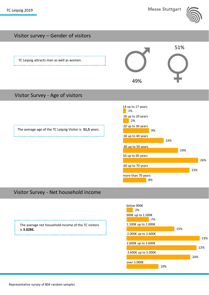

# Visitor survey – Gender of visitors



### Visitor Survey - Age of visitors



# Visitor Survey - Net household income

The average age of the TC Leipzig Visitor is **51,5** years.

The average net household income of the TC visitors is **3.028€.**

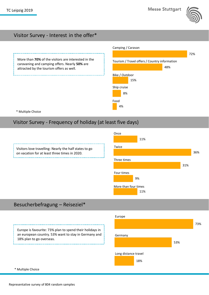

#### Visitor Survey - Interest in the offer\*



### Visitor Survey - Frequency of holiday (at least five days)